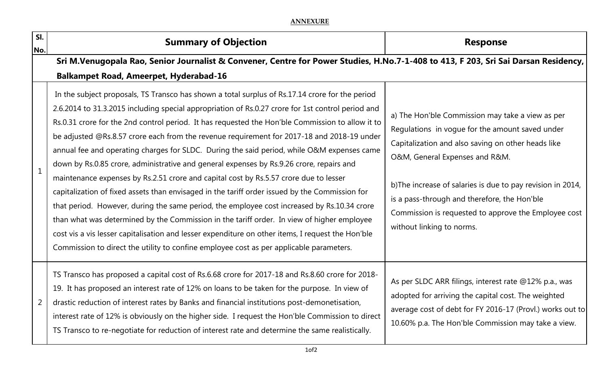## **ANNEXURE**

| SI.<br>No.     | <b>Summary of Objection</b>                                                                                                                                                                                                                                                                                                                                                                                                                                                                                                                                                                                                                                                                                                                                                                                                                                                                                                                                                                                                                                                                                                                                                              | <b>Response</b>                                                                                                                                                                                                                                                                                                                                                                                 |  |  |
|----------------|------------------------------------------------------------------------------------------------------------------------------------------------------------------------------------------------------------------------------------------------------------------------------------------------------------------------------------------------------------------------------------------------------------------------------------------------------------------------------------------------------------------------------------------------------------------------------------------------------------------------------------------------------------------------------------------------------------------------------------------------------------------------------------------------------------------------------------------------------------------------------------------------------------------------------------------------------------------------------------------------------------------------------------------------------------------------------------------------------------------------------------------------------------------------------------------|-------------------------------------------------------------------------------------------------------------------------------------------------------------------------------------------------------------------------------------------------------------------------------------------------------------------------------------------------------------------------------------------------|--|--|
|                | Sri M.Venugopala Rao, Senior Journalist & Convener, Centre for Power Studies, H.No.7-1-408 to 413, F 203, Sri Sai Darsan Residency,<br><b>Balkampet Road, Ameerpet, Hyderabad-16</b>                                                                                                                                                                                                                                                                                                                                                                                                                                                                                                                                                                                                                                                                                                                                                                                                                                                                                                                                                                                                     |                                                                                                                                                                                                                                                                                                                                                                                                 |  |  |
| $\mathbf{1}$   | In the subject proposals, TS Transco has shown a total surplus of Rs.17.14 crore for the period<br>2.6.2014 to 31.3.2015 including special appropriation of Rs.0.27 crore for 1st control period and<br>Rs.0.31 crore for the 2nd control period. It has requested the Hon'ble Commission to allow it to<br>be adjusted @Rs.8.57 crore each from the revenue requirement for 2017-18 and 2018-19 under<br>annual fee and operating charges for SLDC. During the said period, while O&M expenses came<br>down by Rs.0.85 crore, administrative and general expenses by Rs.9.26 crore, repairs and<br>maintenance expenses by Rs.2.51 crore and capital cost by Rs.5.57 crore due to lesser<br>capitalization of fixed assets than envisaged in the tariff order issued by the Commission for<br>that period. However, during the same period, the employee cost increased by Rs.10.34 crore<br>than what was determined by the Commission in the tariff order. In view of higher employee<br>cost vis a vis lesser capitalisation and lesser expenditure on other items, I request the Hon'ble<br>Commission to direct the utility to confine employee cost as per applicable parameters. | a) The Hon'ble Commission may take a view as per<br>Regulations in vogue for the amount saved under<br>Capitalization and also saving on other heads like<br>O&M, General Expenses and R&M.<br>b) The increase of salaries is due to pay revision in 2014,<br>is a pass-through and therefore, the Hon'ble<br>Commission is requested to approve the Employee cost<br>without linking to norms. |  |  |
| $\overline{2}$ | TS Transco has proposed a capital cost of Rs.6.68 crore for 2017-18 and Rs.8.60 crore for 2018-<br>19. It has proposed an interest rate of 12% on loans to be taken for the purpose. In view of<br>drastic reduction of interest rates by Banks and financial institutions post-demonetisation,<br>interest rate of 12% is obviously on the higher side. I request the Hon'ble Commission to direct<br>TS Transco to re-negotiate for reduction of interest rate and determine the same realistically.                                                                                                                                                                                                                                                                                                                                                                                                                                                                                                                                                                                                                                                                                   | As per SLDC ARR filings, interest rate @12% p.a., was<br>adopted for arriving the capital cost. The weighted<br>average cost of debt for FY 2016-17 (Provl.) works out to<br>10.60% p.a. The Hon'ble Commission may take a view.                                                                                                                                                                |  |  |